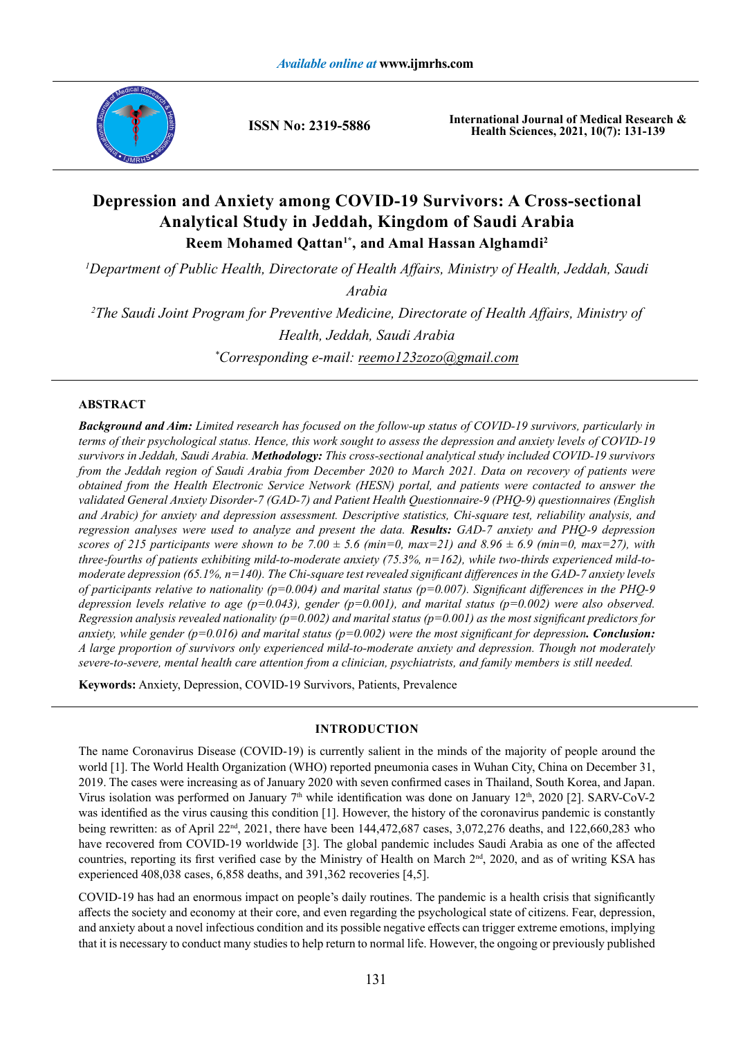

**ISSN No: 2319-5886**

**International Journal of Medical Research & Health Sciences, 2021, 10(7): 131-139**

# **Depression and Anxiety among COVID-19 Survivors: A Cross-sectional Analytical Study in Jeddah, Kingdom of Saudi Arabia Reem Mohamed Qattan1\*, and Amal Hassan Alghamdi2**

*1 Department of Public Health, Directorate of Health Affairs, Ministry of Health, Jeddah, Saudi* 

*Arabia*

*2 The Saudi Joint Program for Preventive Medicine, Directorate of Health Affairs, Ministry of Health, Jeddah, Saudi Arabia \* Corresponding e-mail: reemo123zozo@gmail.com*

# **ABSTRACT**

*Background and Aim: Limited research has focused on the follow-up status of COVID-19 survivors, particularly in terms of their psychological status. Hence, this work sought to assess the depression and anxiety levels of COVID-19 survivors in Jeddah, Saudi Arabia. Methodology: This cross-sectional analytical study included COVID-19 survivors from the Jeddah region of Saudi Arabia from December 2020 to March 2021. Data on recovery of patients were obtained from the Health Electronic Service Network (HESN) portal, and patients were contacted to answer the validated General Anxiety Disorder-7 (GAD-7) and Patient Health Questionnaire-9 (PHQ-9) questionnaires (English and Arabic) for anxiety and depression assessment. Descriptive statistics, Chi-square test, reliability analysis, and regression analyses were used to analyze and present the data. Results: GAD-7 anxiety and PHQ-9 depression scores of 215 participants were shown to be 7.00*  $\pm$  5.6 (min=0, max=21) and 8.96  $\pm$  6.9 (min=0, max=27), with *three-fourths of patients exhibiting mild-to-moderate anxiety (75.3%, n=162), while two-thirds experienced mild-tomoderate depression (65.1%, n=140). The Chi-square test revealed significant differences in the GAD-7 anxiety levels of participants relative to nationality (p=0.004) and marital status (p=0.007). Significant differences in the PHQ-9 depression levels relative to age (p=0.043), gender (p=0.001), and marital status (p=0.002) were also observed. Regression analysis revealed nationality (p=0.002) and marital status (p=0.001) as the most significant predictors for anxiety, while gender (p=0.016) and marital status (p=0.002) were the most significant for depression. Conclusion: A large proportion of survivors only experienced mild-to-moderate anxiety and depression. Though not moderately severe-to-severe, mental health care attention from a clinician, psychiatrists, and family members is still needed.*

**Keywords:** Anxiety, Depression, COVID-19 Survivors, Patients, Prevalence

# **INTRODUCTION**

The name Coronavirus Disease (COVID-19) is currently salient in the minds of the majority of people around the world [1]. The World Health Organization (WHO) reported pneumonia cases in Wuhan City, China on December 31, 2019. The cases were increasing as of January 2020 with seven confirmed cases in Thailand, South Korea, and Japan. Virus isolation was performed on January  $7<sup>th</sup>$  while identification was done on January  $12<sup>th</sup>$ , 2020 [2]. SARV-CoV-2 was identified as the virus causing this condition [1]. However, the history of the coronavirus pandemic is constantly being rewritten: as of April 22<sup>nd</sup>, 2021, there have been 144,472,687 cases, 3,072,276 deaths, and 122,660,283 who have recovered from COVID-19 worldwide [3]. The global pandemic includes Saudi Arabia as one of the affected countries, reporting its first verified case by the Ministry of Health on March  $2<sup>nd</sup>$ , 2020, and as of writing KSA has experienced 408,038 cases, 6,858 deaths, and 391,362 recoveries [4,5].

COVID-19 has had an enormous impact on people's daily routines. The pandemic is a health crisis that significantly affects the society and economy at their core, and even regarding the psychological state of citizens. Fear, depression, and anxiety about a novel infectious condition and its possible negative effects can trigger extreme emotions, implying that it is necessary to conduct many studies to help return to normal life. However, the ongoing or previously published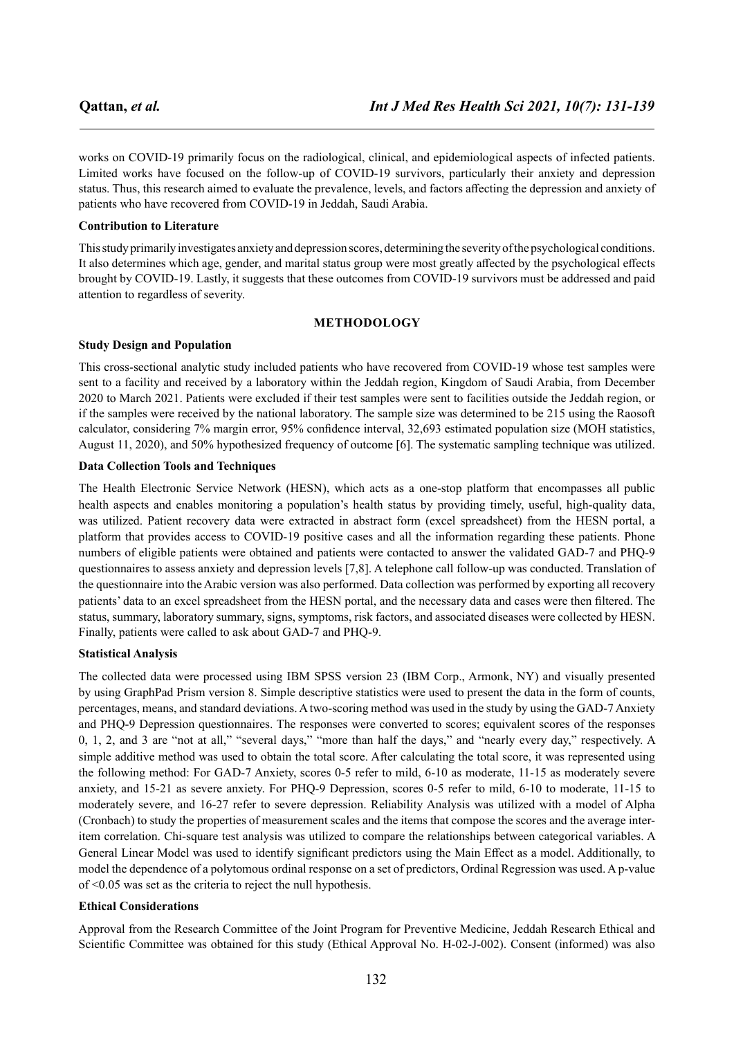works on COVID-19 primarily focus on the radiological, clinical, and epidemiological aspects of infected patients. Limited works have focused on the follow-up of COVID-19 survivors, particularly their anxiety and depression status. Thus, this research aimed to evaluate the prevalence, levels, and factors affecting the depression and anxiety of patients who have recovered from COVID-19 in Jeddah, Saudi Arabia.

# **Contribution to Literature**

This study primarily investigates anxiety and depression scores, determining the severity of the psychological conditions. It also determines which age, gender, and marital status group were most greatly affected by the psychological effects brought by COVID-19. Lastly, it suggests that these outcomes from COVID-19 survivors must be addressed and paid attention to regardless of severity.

# **METHODOLOGY**

# **Study Design and Population**

This cross-sectional analytic study included patients who have recovered from COVID-19 whose test samples were sent to a facility and received by a laboratory within the Jeddah region, Kingdom of Saudi Arabia, from December 2020 to March 2021. Patients were excluded if their test samples were sent to facilities outside the Jeddah region, or if the samples were received by the national laboratory. The sample size was determined to be 215 using the Raosoft calculator, considering 7% margin error, 95% confidence interval, 32,693 estimated population size (MOH statistics, August 11, 2020), and 50% hypothesized frequency of outcome [6]. The systematic sampling technique was utilized.

# **Data Collection Tools and Techniques**

The Health Electronic Service Network (HESN), which acts as a one-stop platform that encompasses all public health aspects and enables monitoring a population's health status by providing timely, useful, high-quality data, was utilized. Patient recovery data were extracted in abstract form (excel spreadsheet) from the HESN portal, a platform that provides access to COVID-19 positive cases and all the information regarding these patients. Phone numbers of eligible patients were obtained and patients were contacted to answer the validated GAD-7 and PHQ-9 questionnaires to assess anxiety and depression levels [7,8]. A telephone call follow-up was conducted. Translation of the questionnaire into the Arabic version was also performed. Data collection was performed by exporting all recovery patients' data to an excel spreadsheet from the HESN portal, and the necessary data and cases were then filtered. The status, summary, laboratory summary, signs, symptoms, risk factors, and associated diseases were collected by HESN. Finally, patients were called to ask about GAD-7 and PHQ-9.

# **Statistical Analysis**

The collected data were processed using IBM SPSS version 23 (IBM Corp., Armonk, NY) and visually presented by using GraphPad Prism version 8. Simple descriptive statistics were used to present the data in the form of counts, percentages, means, and standard deviations. A two-scoring method was used in the study by using the GAD-7 Anxiety and PHQ-9 Depression questionnaires. The responses were converted to scores; equivalent scores of the responses 0, 1, 2, and 3 are "not at all," "several days," "more than half the days," and "nearly every day," respectively. A simple additive method was used to obtain the total score. After calculating the total score, it was represented using the following method: For GAD-7 Anxiety, scores 0-5 refer to mild, 6-10 as moderate, 11-15 as moderately severe anxiety, and 15-21 as severe anxiety. For PHQ-9 Depression, scores 0-5 refer to mild, 6-10 to moderate, 11-15 to moderately severe, and 16-27 refer to severe depression. Reliability Analysis was utilized with a model of Alpha (Cronbach) to study the properties of measurement scales and the items that compose the scores and the average interitem correlation. Chi-square test analysis was utilized to compare the relationships between categorical variables. A General Linear Model was used to identify significant predictors using the Main Effect as a model. Additionally, to model the dependence of a polytomous ordinal response on a set of predictors, Ordinal Regression was used. A p-value of <0.05 was set as the criteria to reject the null hypothesis.

### **Ethical Considerations**

Approval from the Research Committee of the Joint Program for Preventive Medicine, Jeddah Research Ethical and Scientific Committee was obtained for this study (Ethical Approval No. H-02-J-002). Consent (informed) was also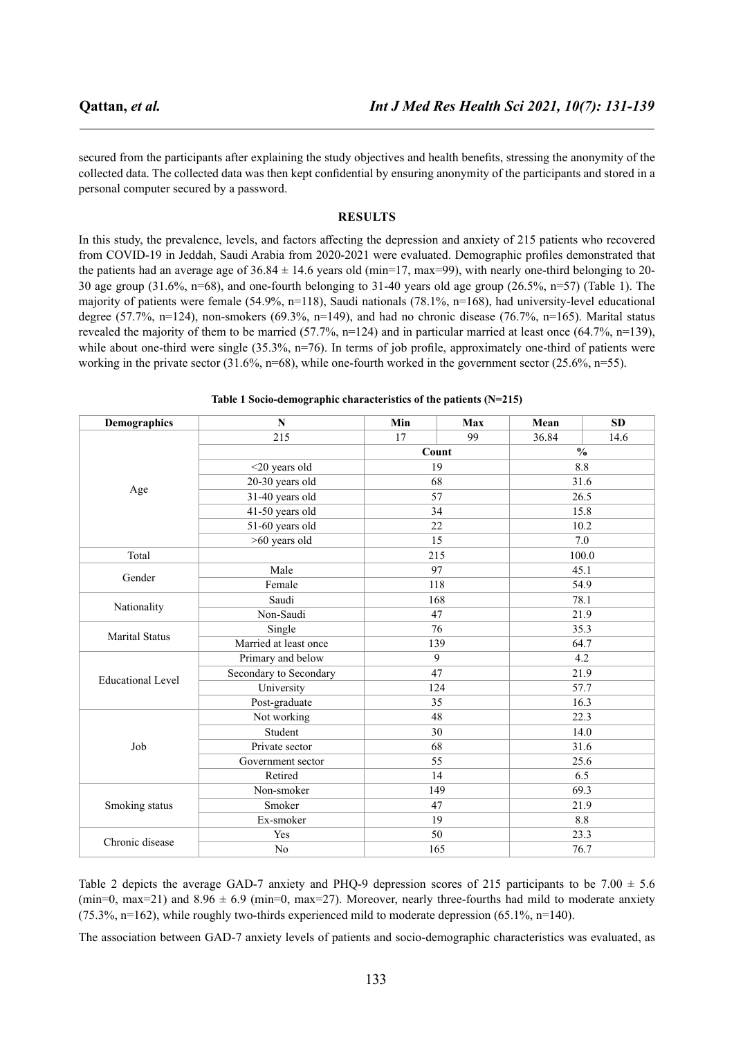secured from the participants after explaining the study objectives and health benefits, stressing the anonymity of the collected data. The collected data was then kept confidential by ensuring anonymity of the participants and stored in a personal computer secured by a password.

#### **RESULTS**

In this study, the prevalence, levels, and factors affecting the depression and anxiety of 215 patients who recovered from COVID-19 in Jeddah, Saudi Arabia from 2020-2021 were evaluated. Demographic profiles demonstrated that the patients had an average age of  $36.84 \pm 14.6$  years old (min=17, max=99), with nearly one-third belonging to 20-30 age group (31.6%, n=68), and one-fourth belonging to 31-40 years old age group (26.5%, n=57) (Table 1). The majority of patients were female (54.9%, n=118), Saudi nationals (78.1%, n=168), had university-level educational degree (57.7%, n=124), non-smokers (69.3%, n=149), and had no chronic disease (76.7%, n=165). Marital status revealed the majority of them to be married (57.7%, n=124) and in particular married at least once (64.7%, n=139), while about one-third were single  $(35.3\%, n=76)$ . In terms of job profile, approximately one-third of patients were working in the private sector (31.6%, n=68), while one-fourth worked in the government sector (25.6%, n=55).

**Table 1 Socio-demographic characteristics of the patients (N=215)**

| Demographics             | $\mathbf N$            | Min | Max   | Mean          | <b>SD</b> |
|--------------------------|------------------------|-----|-------|---------------|-----------|
|                          | 215                    | 17  | 99    | 36.84         | 14.6      |
|                          |                        |     | Count | $\frac{0}{0}$ |           |
|                          | <20 years old          |     | 19    | 8.8           |           |
|                          | 20-30 years old        |     | 68    | 31.6          |           |
| Age                      | 31-40 years old        |     | 57    | 26.5          |           |
|                          | 41-50 years old        |     | 34    | 15.8          |           |
|                          | 51-60 years old        |     | 22    | 10.2          |           |
|                          | >60 years old          |     | 15    |               | 7.0       |
| Total                    |                        |     | 215   | 100.0         |           |
|                          | Male                   |     | 97    | 45.1          |           |
| Gender                   | Female                 | 118 |       | 54.9          |           |
|                          | Saudi                  | 168 |       | 78.1          |           |
| Nationality              | Non-Saudi              |     | 47    | 21.9          |           |
| <b>Marital Status</b>    | Single                 |     | 76    | 35.3          |           |
|                          | Married at least once  |     | 139   | 64.7          |           |
|                          | Primary and below      | 9   |       | 4.2           |           |
| <b>Educational Level</b> | Secondary to Secondary | 47  |       | 21.9          |           |
|                          | University             | 124 |       | 57.7          |           |
|                          | Post-graduate          | 35  |       | 16.3          |           |
|                          | Not working            | 48  |       | 22.3          |           |
|                          | Student                | 30  |       | 14.0          |           |
| Job                      | Private sector         | 68  |       | 31.6          |           |
|                          | Government sector      | 55  |       | 25.6          |           |
|                          | Retired                |     | 14    | 6.5           |           |
|                          | Non-smoker             |     | 149   | 69.3          |           |
| Smoking status           | Smoker                 | 47  |       | 21.9          |           |
|                          | Ex-smoker              | 19  |       | 8.8           |           |
| Chronic disease          | Yes                    | 50  |       | 23.3          |           |
|                          | N <sub>o</sub>         | 165 |       | 76.7          |           |

Table 2 depicts the average GAD-7 anxiety and PHQ-9 depression scores of 215 participants to be 7.00  $\pm$  5.6 (min=0, max=21) and 8.96  $\pm$  6.9 (min=0, max=27). Moreover, nearly three-fourths had mild to moderate anxiety  $(75.3\%, n=162)$ , while roughly two-thirds experienced mild to moderate depression  $(65.1\%, n=140)$ .

The association between GAD-7 anxiety levels of patients and socio-demographic characteristics was evaluated, as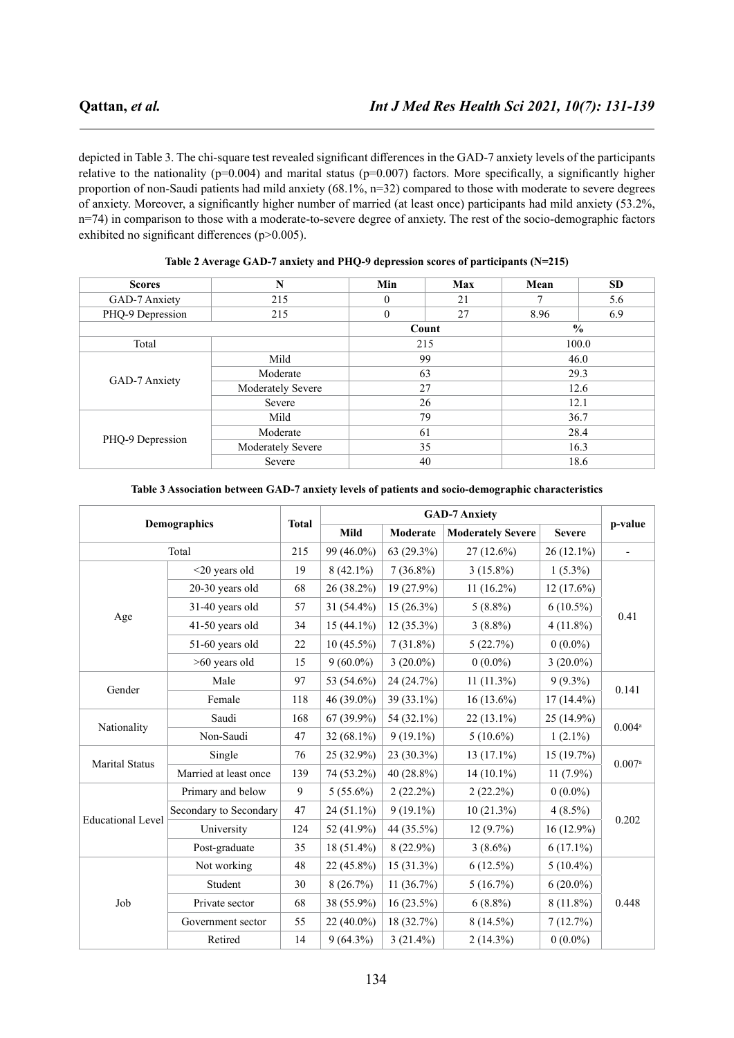depicted in Table 3. The chi-square test revealed significant differences in the GAD-7 anxiety levels of the participants relative to the nationality (p=0.004) and marital status (p=0.007) factors. More specifically, a significantly higher proportion of non-Saudi patients had mild anxiety (68.1%, n=32) compared to those with moderate to severe degrees of anxiety. Moreover, a significantly higher number of married (at least once) participants had mild anxiety (53.2%, n=74) in comparison to those with a moderate-to-severe degree of anxiety. The rest of the socio-demographic factors exhibited no significant differences (p>0.005).

| <b>Scores</b>    | N                 | Min      | <b>Max</b> | Mean | <b>SD</b>     |
|------------------|-------------------|----------|------------|------|---------------|
| GAD-7 Anxiety    | 215               | $\theta$ | 21         | 7    | 5.6           |
| PHQ-9 Depression | 215               | $\theta$ | 27         | 8.96 | 6.9           |
|                  |                   |          | Count      |      | $\frac{0}{0}$ |
| Total            |                   |          | 215        |      | 100.0         |
|                  | Mild              | 99       |            | 46.0 |               |
|                  | Moderate          | 63       |            | 29.3 |               |
| GAD-7 Anxiety    | Moderately Severe | 27       |            | 12.6 |               |
|                  | Severe            | 26       |            | 12.1 |               |
|                  | Mild              | 79       |            | 36.7 |               |
|                  | Moderate          | 61       |            | 28.4 |               |
| PHQ-9 Depression | Moderately Severe | 35       |            | 16.3 |               |
|                  | Severe            | 40       |            | 18.6 |               |

| Table 2 Average GAD-7 anxiety and PHQ-9 depression scores of participants (N=215) |  |  |
|-----------------------------------------------------------------------------------|--|--|
|                                                                                   |  |  |

|  | Table 3 Association between GAD-7 anxiety levels of patients and socio-demographic characteristics |  |
|--|----------------------------------------------------------------------------------------------------|--|
|  |                                                                                                    |  |

| <b>Demographics</b>      |                        | <b>Total</b> |              |              |                          |               |                      |  |
|--------------------------|------------------------|--------------|--------------|--------------|--------------------------|---------------|----------------------|--|
|                          |                        |              | Mild         | Moderate     | <b>Moderately Severe</b> | <b>Severe</b> | p-value              |  |
|                          | Total                  | 215          | 99 (46.0%)   | 63 (29.3%)   | $27(12.6\%)$             | $26(12.1\%)$  |                      |  |
|                          | <20 years old          | 19           | $8(42.1\%)$  | $7(36.8\%)$  | $3(15.8\%)$              | $1(5.3\%)$    |                      |  |
|                          | 20-30 years old        | 68           | 26 (38.2%)   | 19 (27.9%)   | $11(16.2\%)$             | $12(17.6\%)$  |                      |  |
|                          | 31-40 years old        | 57           | 31 (54.4%)   | $15(26.3\%)$ | $5(8.8\%)$               | $6(10.5\%)$   |                      |  |
| Age                      | 41-50 years old        | 34           | $15(44.1\%)$ | $12(35.3\%)$ | $3(8.8\%)$               | $4(11.8\%)$   | 0.41                 |  |
|                          | 51-60 years old        | 22           | $10(45.5\%)$ | $7(31.8\%)$  | 5(22.7%)                 | $0(0.0\%)$    |                      |  |
|                          | >60 years old          | 15           | $9(60.0\%)$  | $3(20.0\%)$  | $0(0.0\%)$               | $3(20.0\%)$   |                      |  |
|                          | Male                   | 97           | 53 (54.6%)   | 24 (24.7%)   | $11(11.3\%)$             | $9(9.3\%)$    | 0.141                |  |
| Gender                   | Female                 | 118          | 46 (39.0%)   | 39 (33.1%)   | $16(13.6\%)$             | 17 (14.4%)    |                      |  |
|                          | Saudi                  | 168          | $67(39.9\%)$ | 54 (32.1%)   | $22(13.1\%)$             | 25 (14.9%)    | $0.004^{\text{a}}$   |  |
| Nationality              | Non-Saudi              | 47           | 32 (68.1%)   | $9(19.1\%)$  | $5(10.6\%)$              | $1(2.1\%)$    |                      |  |
| <b>Marital Status</b>    | Single                 | 76           | $25(32.9\%)$ | 23 (30.3%)   | 13 (17.1%)               | 15(19.7%)     | $0.007$ <sup>a</sup> |  |
|                          | Married at least once  | 139          | 74 (53.2%)   | 40 (28.8%)   | 14 (10.1%)               | $11(7.9\%)$   |                      |  |
|                          | Primary and below      | 9            | $5(55.6\%)$  | $2(22.2\%)$  | $2(22.2\%)$              | $0(0.0\%)$    |                      |  |
| <b>Educational Level</b> | Secondary to Secondary | 47           | 24 (51.1%)   | $9(19.1\%)$  | 10(21.3%)                | $4(8.5\%)$    |                      |  |
|                          | University             | 124          | 52 (41.9%)   | 44 (35.5%)   | 12(9.7%)                 | 16 (12.9%)    | 0.202                |  |
|                          | Post-graduate          | 35           | 18 (51.4%)   | $8(22.9\%)$  | $3(8.6\%)$               | $6(17.1\%)$   |                      |  |
|                          | Not working            | 48           | 22 (45.8%)   | $15(31.3\%)$ | $6(12.5\%)$              | $5(10.4\%)$   |                      |  |
| Job                      | Student                | 30           | 8(26.7%)     | 11 $(36.7%)$ | 5(16.7%)                 | $6(20.0\%)$   |                      |  |
|                          | Private sector         | 68           | 38 (55.9%)   | $16(23.5\%)$ | $6(8.8\%)$               | $8(11.8\%)$   | 0.448                |  |
|                          | Government sector      | 55           | 22 (40.0%)   | 18 (32.7%)   | $8(14.5\%)$              | 7(12.7%)      |                      |  |
|                          | Retired                | 14           | $9(64.3\%)$  | $3(21.4\%)$  | $2(14.3\%)$              | $0(0.0\%)$    |                      |  |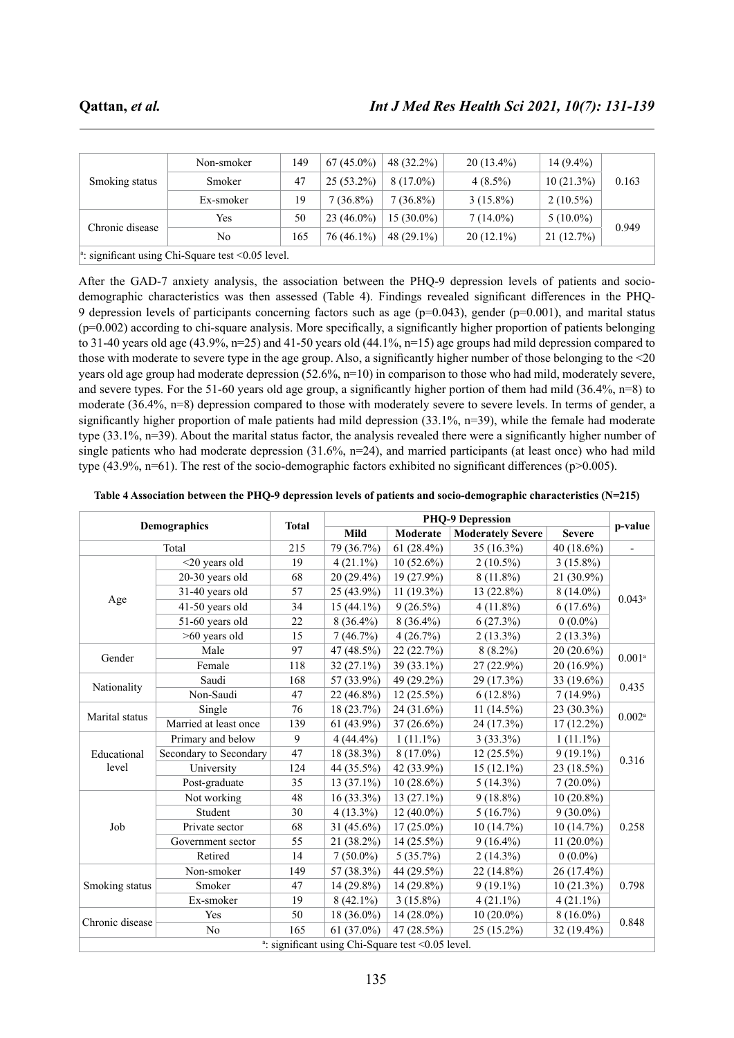| Smoking status                                                   | Non-smoker | 149 | $67(45.0\%)$ | 48 (32.2%)    | $20(13.4\%)$ | $14(9.4\%)$  |       |
|------------------------------------------------------------------|------------|-----|--------------|---------------|--------------|--------------|-------|
|                                                                  | Smoker     | 47  | $25(53.2\%)$ | $8(17.0\%)$   | $4(8.5\%)$   | $10(21.3\%)$ | 0.163 |
|                                                                  | Ex-smoker  | 19  | $7(36.8\%)$  | $7(36.8\%)$   | $3(15.8\%)$  | $2(10.5\%)$  |       |
| Chronic disease                                                  | Yes        | 50  | $23(46.0\%)$ | $15(30.0\%)$  | $7(14.0\%)$  | $5(10.0\%)$  |       |
|                                                                  | No         | 165 | 76 (46.1%)   | 48 $(29.1\%)$ | $20(12.1\%)$ | 21(12.7%)    | 0.949 |
| <sup>a</sup> : significant using Chi-Square test < $0.05$ level. |            |     |              |               |              |              |       |

After the GAD-7 anxiety analysis, the association between the PHQ-9 depression levels of patients and sociodemographic characteristics was then assessed (Table 4). Findings revealed significant differences in the PHQ-9 depression levels of participants concerning factors such as age (p=0.043), gender (p=0.001), and marital status (p=0.002) according to chi-square analysis. More specifically, a significantly higher proportion of patients belonging to 31-40 years old age  $(43.9\%, n=25)$  and 41-50 years old  $(44.1\%, n=15)$  age groups had mild depression compared to those with moderate to severe type in the age group. Also, a significantly higher number of those belonging to the <20 years old age group had moderate depression (52.6%, n=10) in comparison to those who had mild, moderately severe, and severe types. For the 51-60 years old age group, a significantly higher portion of them had mild (36.4%, n=8) to moderate (36.4%, n=8) depression compared to those with moderately severe to severe levels. In terms of gender, a significantly higher proportion of male patients had mild depression  $(33.1\% , n=39)$ , while the female had moderate type  $(33.1\%, n=39)$ . About the marital status factor, the analysis revealed there were a significantly higher number of single patients who had moderate depression (31.6%, n=24), and married participants (at least once) who had mild type (43.9%, n=61). The rest of the socio-demographic factors exhibited no significant differences ( $p>0.005$ ).

**Table 4 Association between the PHQ-9 depression levels of patients and socio-demographic characteristics (N=215)**

| <b>Demographics</b> |                        | <b>Total</b> | <b>PHQ-9 Depression</b>                            |              |                          |               |                          |  |
|---------------------|------------------------|--------------|----------------------------------------------------|--------------|--------------------------|---------------|--------------------------|--|
|                     |                        |              | Mild                                               | Moderate     | <b>Moderately Severe</b> | <b>Severe</b> | p-value                  |  |
|                     | Total                  | 215          | 79 (36.7%)                                         | $61(28.4\%)$ | 35 (16.3%)               | 40 (18.6%)    | $\overline{\phantom{a}}$ |  |
|                     | $<$ 20 years old       | 19           | $4(21.1\%)$                                        | $10(52.6\%)$ | $2(10.5\%)$              | $3(15.8\%)$   | $0.043^a$                |  |
|                     | 20-30 years old        | 68           | 20 (29.4%)                                         | 19 (27.9%)   | $8(11.8\%)$              | 21 (30.9%)    |                          |  |
|                     | 31-40 years old        | 57           | 25 (43.9%)                                         | $11(19.3\%)$ | 13 (22.8%)               | 8 (14.0%)     |                          |  |
| Age                 | 41-50 years old        | 34           | $15(44.1\%)$                                       | $9(26.5\%)$  | $4(11.8\%)$              | $6(17.6\%)$   |                          |  |
|                     | 51-60 years old        | 22           | $8(36.4\%)$                                        | $8(36.4\%)$  | 6(27.3%)                 | $0(0.0\%)$    |                          |  |
|                     | $>60$ years old        | 15           | 7(46.7%)                                           | 4(26.7%)     | $2(13.3\%)$              | $2(13.3\%)$   |                          |  |
| Gender              | Male                   | 97           | 47 (48.5%)                                         | 22 (22.7%)   | $8(8.2\%)$               | 20 (20.6%)    | $0.001$ <sup>a</sup>     |  |
|                     | Female                 | 118          | $32(27.1\%)$                                       | 39 (33.1%)   | 27 (22.9%)               | 20 (16.9%)    |                          |  |
|                     | Saudi                  | 168          | 57 (33.9%)                                         | 49 (29.2%)   | 29 (17.3%)               | 33 (19.6%)    |                          |  |
| Nationality         | Non-Saudi              | 47           | 22 (46.8%)                                         | $12(25.5\%)$ | $6(12.8\%)$              | $7(14.9\%)$   | 0.435                    |  |
| Marital status      | Single                 | 76           | 18 (23.7%)                                         | 24 (31.6%)   | $11(14.5\%)$             | 23 (30.3%)    | $0.002^a$                |  |
|                     | Married at least once  | 139          | $61(43.9\%)$                                       | $37(26.6\%)$ | 24 (17.3%)               | $17(12.2\%)$  |                          |  |
|                     | Primary and below      | 9            | $4(44.4\%)$                                        | $1(11.1\%)$  | $3(33.3\%)$              | $1(11.1\%)$   | 0.316                    |  |
| Educational         | Secondary to Secondary | 47           | 18 (38.3%)                                         | 8 (17.0%)    | $12(25.5\%)$             | $9(19.1\%)$   |                          |  |
| level               | University             | 124          | 44 (35.5%)                                         | 42 (33.9%)   | $15(12.1\%)$             | 23 (18.5%)    |                          |  |
|                     | Post-graduate          | 35           | 13 (37.1%)                                         | $10(28.6\%)$ | $5(14.3\%)$              | $7(20.0\%)$   |                          |  |
|                     | Not working            | 48           | 16 (33.3%)                                         | $13(27.1\%)$ | $9(18.8\%)$              | $10(20.8\%)$  |                          |  |
|                     | Student                | 30           | $4(13.3\%)$                                        | $12(40.0\%)$ | 5(16.7%)                 | $9(30.0\%)$   |                          |  |
| Job                 | Private sector         | 68           | 31 (45.6%)                                         | $17(25.0\%)$ | 10(14.7%)                | 10(14.7%)     | 0.258                    |  |
|                     | Government sector      | 55           | 21 (38.2%)                                         | $14(25.5\%)$ | $9(16.4\%)$              | $11(20.0\%)$  |                          |  |
|                     | Retired                | 14           | $7(50.0\%)$                                        | 5(35.7%)     | $2(14.3\%)$              | $0(0.0\%)$    |                          |  |
|                     | Non-smoker             | 149          | 57 (38.3%)                                         | 44 (29.5%)   | 22 (14.8%)               | $26(17.4\%)$  |                          |  |
| Smoking status      | Smoker                 | 47           | 14 (29.8%)                                         | 14 (29.8%)   | $9(19.1\%)$              | 10(21.3%)     | 0.798                    |  |
|                     | Ex-smoker              | 19           | $8(42.1\%)$                                        | $3(15.8\%)$  | $4(21.1\%)$              | $4(21.1\%)$   |                          |  |
|                     | Yes                    | 50           | 18 (36.0%)                                         | $14(28.0\%)$ | $10(20.0\%)$             | $8(16.0\%)$   | 0.848                    |  |
| Chronic disease     | No                     | 165          | $61(37.0\%)$                                       | 47 (28.5%)   | 25 (15.2%)               | 32 (19.4%)    |                          |  |
|                     |                        |              | a: significant using Chi-Square test < 0.05 level. |              |                          |               |                          |  |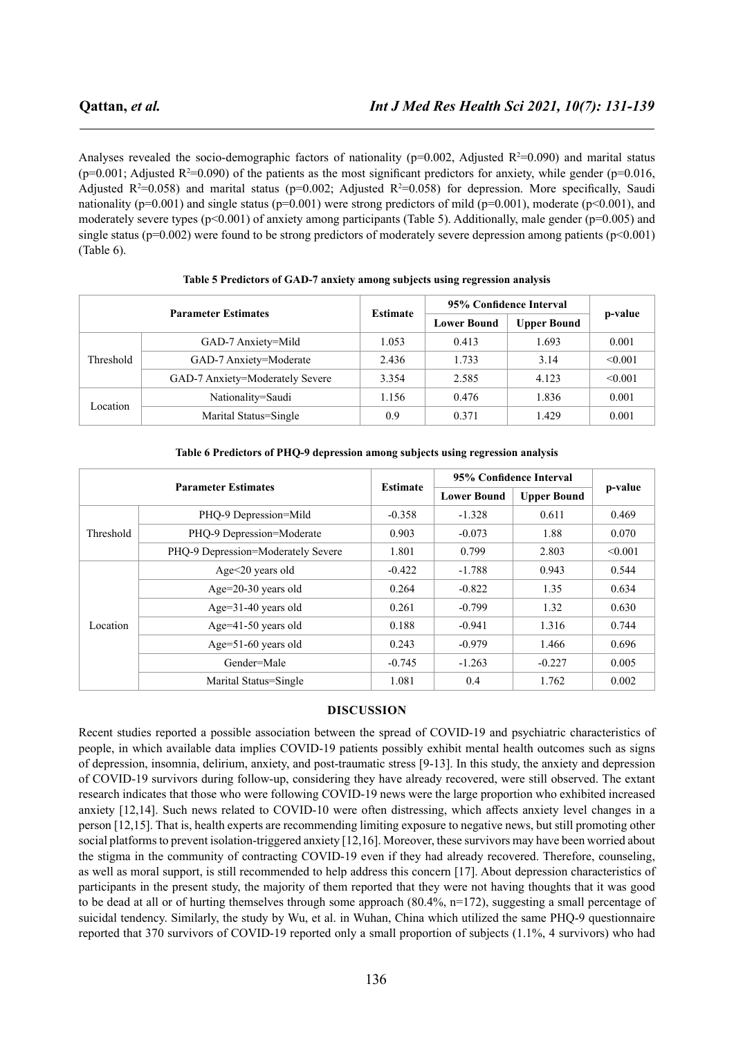Analyses revealed the socio-demographic factors of nationality ( $p=0.002$ , Adjusted R<sup>2</sup>=0.090) and marital status  $(p=0.001;$  Adjusted R<sup>2</sup>=0.090) of the patients as the most significant predictors for anxiety, while gender (p=0.016, Adjusted  $R^2=0.058$ ) and marital status (p=0.002; Adjusted  $R^2=0.058$ ) for depression. More specifically, Saudi nationality ( $p=0.001$ ) and single status ( $p=0.001$ ) were strong predictors of mild ( $p=0.001$ ), moderate ( $p<0.001$ ), and moderately severe types (p<0.001) of anxiety among participants (Table 5). Additionally, male gender (p=0.005) and single status ( $p=0.002$ ) were found to be strong predictors of moderately severe depression among patients ( $p<0.001$ ) (Table 6).

| <b>Parameter Estimates</b> |                                 |                 | 95% Confidence Interval |                    |         |
|----------------------------|---------------------------------|-----------------|-------------------------|--------------------|---------|
|                            |                                 | <b>Estimate</b> | <b>Lower Bound</b>      | <b>Upper Bound</b> | p-value |
| Threshold                  | GAD-7 Anxiety=Mild              | 1.053           | 0.413                   | 1.693              | 0.001   |
|                            | GAD-7 Anxiety=Moderate          | 2.436           | 1.733                   | 3.14               | < 0.001 |
|                            | GAD-7 Anxiety=Moderately Severe | 3.354           | 2.585                   | 4.123              | < 0.001 |
| Location                   | Nationality=Saudi               | 1.156           | 0.476                   | 1.836              | 0.001   |
|                            | Marital Status=Single           | 0.9             | 0.371                   | 1.429              | 0.001   |

| Table 5 Predictors of GAD-7 anxiety among subjects using regression analysis |  |  |  |  |
|------------------------------------------------------------------------------|--|--|--|--|
|                                                                              |  |  |  |  |

| <b>Parameter Estimates</b> |                                    |                 | 95% Confidence Interval |                    |         |
|----------------------------|------------------------------------|-----------------|-------------------------|--------------------|---------|
|                            |                                    | <b>Estimate</b> | <b>Lower Bound</b>      | <b>Upper Bound</b> | p-value |
|                            | PHQ-9 Depression=Mild              | $-0.358$        | $-1.328$                | 0.611              | 0.469   |
| Threshold                  | PHQ-9 Depression=Moderate          | 0.903           | $-0.073$                | 1.88               | 0.070   |
|                            | PHO-9 Depression=Moderately Severe | 1.801           | 0.799                   | 2.803              | < 0.001 |
|                            | Age $\leq$ 20 years old            | $-0.422$        | $-1.788$                | 0.943              | 0.544   |
|                            | Age=20-30 years old                | 0.264           | $-0.822$                | 1.35               | 0.634   |
|                            | Age= $31-40$ years old             | 0.261           | $-0.799$                | 1.32               | 0.630   |
| Location                   | Age= $41-50$ years old             | 0.188           | $-0.941$                | 1.316              | 0.744   |
|                            | Age=51-60 years old                | 0.243           | $-0.979$                | 1.466              | 0.696   |
|                            | Gender=Male                        | $-0.745$        | $-1.263$                | $-0.227$           | 0.005   |
|                            | Marital Status=Single              | 1.081           | 0.4                     | 1.762              | 0.002   |

**Table 6 Predictors of PHQ-9 depression among subjects using regression analysis**

### **DISCUSSION**

Recent studies reported a possible association between the spread of COVID-19 and psychiatric characteristics of people, in which available data implies COVID-19 patients possibly exhibit mental health outcomes such as signs of depression, insomnia, delirium, anxiety, and post-traumatic stress [9-13]. In this study, the anxiety and depression of COVID-19 survivors during follow-up, considering they have already recovered, were still observed. The extant research indicates that those who were following COVID-19 news were the large proportion who exhibited increased anxiety [12,14]. Such news related to COVID-10 were often distressing, which affects anxiety level changes in a person [12,15]. That is, health experts are recommending limiting exposure to negative news, but still promoting other social platforms to prevent isolation-triggered anxiety [12,16]. Moreover, these survivors may have been worried about the stigma in the community of contracting COVID-19 even if they had already recovered. Therefore, counseling, as well as moral support, is still recommended to help address this concern [17]. About depression characteristics of participants in the present study, the majority of them reported that they were not having thoughts that it was good to be dead at all or of hurting themselves through some approach  $(80.4\%, n=172)$ , suggesting a small percentage of suicidal tendency. Similarly, the study by Wu, et al. in Wuhan, China which utilized the same PHQ-9 questionnaire reported that 370 survivors of COVID-19 reported only a small proportion of subjects (1.1%, 4 survivors) who had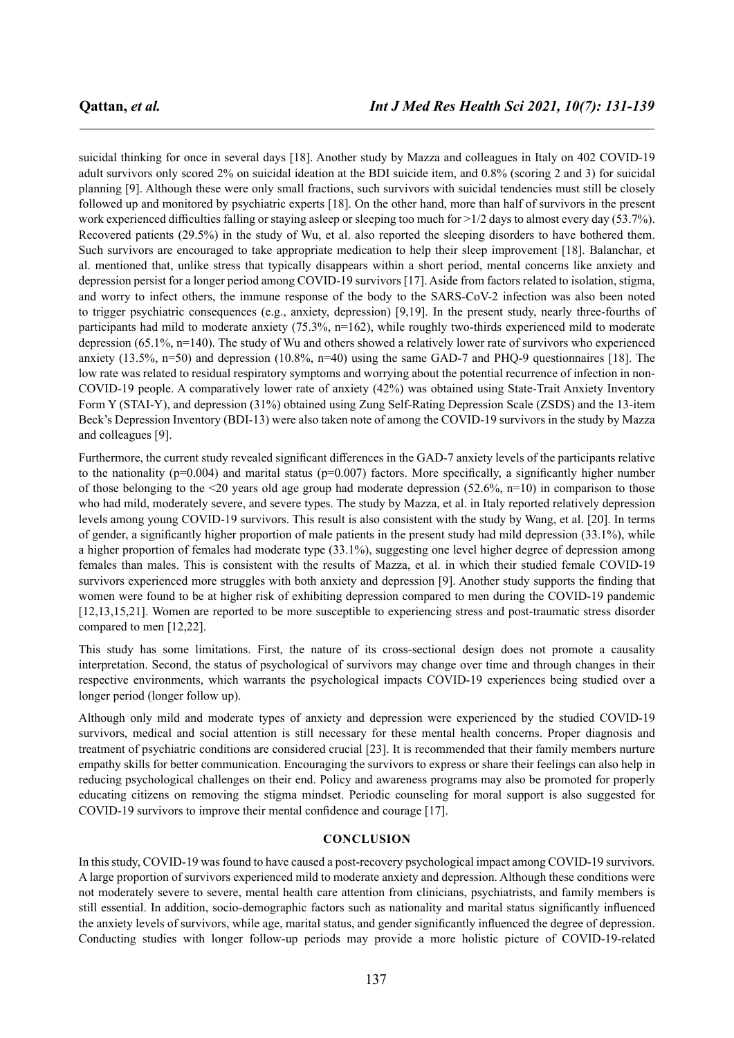suicidal thinking for once in several days [18]. Another study by Mazza and colleagues in Italy on 402 COVID-19 adult survivors only scored 2% on suicidal ideation at the BDI suicide item, and 0.8% (scoring 2 and 3) for suicidal planning [9]. Although these were only small fractions, such survivors with suicidal tendencies must still be closely followed up and monitored by psychiatric experts [18]. On the other hand, more than half of survivors in the present work experienced difficulties falling or staying asleep or sleeping too much for  $>1/2$  days to almost every day (53.7%). Recovered patients (29.5%) in the study of Wu, et al. also reported the sleeping disorders to have bothered them. Such survivors are encouraged to take appropriate medication to help their sleep improvement [18]. Balanchar, et al. mentioned that, unlike stress that typically disappears within a short period, mental concerns like anxiety and depression persist for a longer period among COVID-19 survivors [17]. Aside from factors related to isolation, stigma, and worry to infect others, the immune response of the body to the SARS-CoV-2 infection was also been noted to trigger psychiatric consequences (e.g., anxiety, depression) [9,19]. In the present study, nearly three-fourths of participants had mild to moderate anxiety (75.3%, n=162), while roughly two-thirds experienced mild to moderate depression (65.1%, n=140). The study of Wu and others showed a relatively lower rate of survivors who experienced anxiety  $(13.5\%, n=50)$  and depression  $(10.8\%, n=40)$  using the same GAD-7 and PHO-9 questionnaires [18]. The low rate was related to residual respiratory symptoms and worrying about the potential recurrence of infection in non-COVID-19 people. A comparatively lower rate of anxiety (42%) was obtained using State-Trait Anxiety Inventory Form Y (STAI-Y), and depression (31%) obtained using Zung Self-Rating Depression Scale (ZSDS) and the 13-item Beck's Depression Inventory (BDI-13) were also taken note of among the COVID-19 survivors in the study by Mazza and colleagues [9].

Furthermore, the current study revealed significant differences in the GAD-7 anxiety levels of the participants relative to the nationality ( $p=0.004$ ) and marital status ( $p=0.007$ ) factors. More specifically, a significantly higher number of those belonging to the  $\leq 20$  years old age group had moderate depression (52.6%, n=10) in comparison to those who had mild, moderately severe, and severe types. The study by Mazza, et al. in Italy reported relatively depression levels among young COVID-19 survivors. This result is also consistent with the study by Wang, et al. [20]. In terms of gender, a significantly higher proportion of male patients in the present study had mild depression (33.1%), while a higher proportion of females had moderate type (33.1%), suggesting one level higher degree of depression among females than males. This is consistent with the results of Mazza, et al. in which their studied female COVID-19 survivors experienced more struggles with both anxiety and depression [9]. Another study supports the finding that women were found to be at higher risk of exhibiting depression compared to men during the COVID-19 pandemic [12,13,15,21]. Women are reported to be more susceptible to experiencing stress and post-traumatic stress disorder compared to men [12,22].

This study has some limitations. First, the nature of its cross-sectional design does not promote a causality interpretation. Second, the status of psychological of survivors may change over time and through changes in their respective environments, which warrants the psychological impacts COVID-19 experiences being studied over a longer period (longer follow up).

Although only mild and moderate types of anxiety and depression were experienced by the studied COVID-19 survivors, medical and social attention is still necessary for these mental health concerns. Proper diagnosis and treatment of psychiatric conditions are considered crucial [23]. It is recommended that their family members nurture empathy skills for better communication. Encouraging the survivors to express or share their feelings can also help in reducing psychological challenges on their end. Policy and awareness programs may also be promoted for properly educating citizens on removing the stigma mindset. Periodic counseling for moral support is also suggested for COVID-19 survivors to improve their mental confidence and courage [17].

# **CONCLUSION**

In this study, COVID-19 was found to have caused a post-recovery psychological impact among COVID-19 survivors. A large proportion of survivors experienced mild to moderate anxiety and depression. Although these conditions were not moderately severe to severe, mental health care attention from clinicians, psychiatrists, and family members is still essential. In addition, socio-demographic factors such as nationality and marital status significantly influenced the anxiety levels of survivors, while age, marital status, and gender significantly influenced the degree of depression. Conducting studies with longer follow-up periods may provide a more holistic picture of COVID-19-related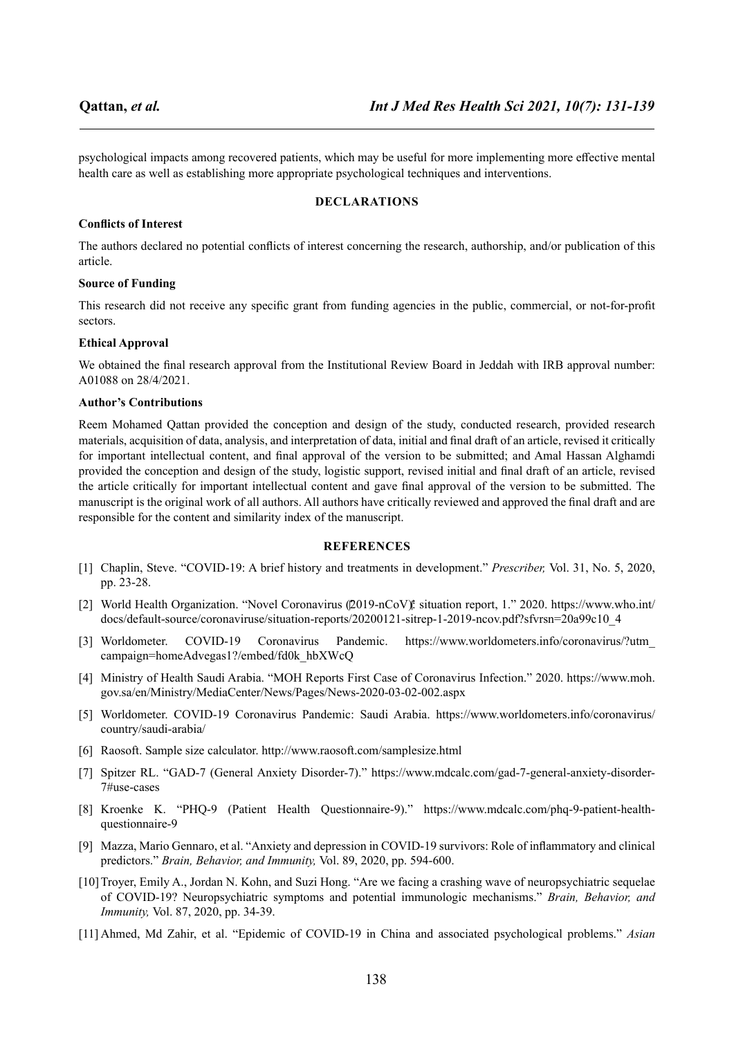psychological impacts among recovered patients, which may be useful for more implementing more effective mental health care as well as establishing more appropriate psychological techniques and interventions.

### **DECLARATIONS**

# **Conflicts of Interest**

The authors declared no potential conflicts of interest concerning the research, authorship, and/or publication of this article.

### **Source of Funding**

This research did not receive any specific grant from funding agencies in the public, commercial, or not-for-profit sectors.

# **Ethical Approval**

We obtained the final research approval from the Institutional Review Board in Jeddah with IRB approval number: A01088 on 28/4/2021.

# **Author's Contributions**

Reem Mohamed Qattan provided the conception and design of the study, conducted research, provided research materials, acquisition of data, analysis, and interpretation of data, initial and final draft of an article, revised it critically for important intellectual content, and final approval of the version to be submitted; and Amal Hassan Alghamdi provided the conception and design of the study, logistic support, revised initial and final draft of an article, revised the article critically for important intellectual content and gave final approval of the version to be submitted. The manuscript is the original work of all authors. All authors have critically reviewed and approved the final draft and are responsible for the content and similarity index of the manuscript.

### **REFERENCES**

- [1] Chaplin, Steve. "COVID‐19: A brief history and treatments in development." *Prescriber,* Vol. 31, No. 5, 2020, pp. 23-28.
- [2] World Health Organization. "Novel Coronavirus (2019-nCoV): situation report, 1." 2020. [https://www.who.int/](https://www.who.int/docs/default-source/coronaviruse/situation-reports/20200121-sitrep-1-2019-ncov.pdf?sfvrsn=20a99c10_4) [docs/default-source/coronaviruse/situation-reports/20200121-sitrep-1-2019-ncov.pdf?sfvrsn=20a99c10\\_4](https://www.who.int/docs/default-source/coronaviruse/situation-reports/20200121-sitrep-1-2019-ncov.pdf?sfvrsn=20a99c10_4)
- [3] Worldometer. COVID-19 Coronavirus Pandemic. [https://www.worldometers.info/coronavirus/?utm\\_](https://www.worldometers.info/coronavirus/?utm_campaign=homeAdvegas1?/embed/fd0k_hbXWcQ) [campaign=homeAdvegas1?/embed/fd0k\\_hbXWcQ](https://www.worldometers.info/coronavirus/?utm_campaign=homeAdvegas1?/embed/fd0k_hbXWcQ)
- [4] Ministry of Health Saudi Arabia. "MOH Reports First Case of Coronavirus Infection." 2020. [https://www.moh.](https://www.moh.gov.sa/en/Ministry/MediaCenter/News/Pages/News-2020-03-02-002.aspx) [gov.sa/en/Ministry/MediaCenter/News/Pages/News-2020-03-02-002.aspx](https://www.moh.gov.sa/en/Ministry/MediaCenter/News/Pages/News-2020-03-02-002.aspx)
- [5] Worldometer. COVID-19 Coronavirus Pandemic: Saudi Arabia. [https://www.worldometers.info/coronavirus/](https://www.worldometers.info/coronavirus/country/saudi-arabia/) [country/saudi-arabia/](https://www.worldometers.info/coronavirus/country/saudi-arabia/)
- [6] Raosoft. Sample size calculator. <http://www.raosoft.com/samplesize.html>
- [7] Spitzer RL. "GAD-7 (General Anxiety Disorder-7)." [https://www.mdcalc.com/gad-7-general-anxiety-disorder-](https://www.mdcalc.com/gad-7-general-anxiety-disorder-7#use-cases)[7#use-cases](https://www.mdcalc.com/gad-7-general-anxiety-disorder-7#use-cases)
- [8] Kroenke K. "PHQ-9 (Patient Health Questionnaire-9)." [https://www.mdcalc.com/phq-9-patient-health](https://www.mdcalc.com/phq-9-patient-health-questionnaire-9)[questionnaire-9](https://www.mdcalc.com/phq-9-patient-health-questionnaire-9)
- [9] Mazza, Mario Gennaro, et al. "Anxiety and depression in COVID-19 survivors: Role of inflammatory and clinical predictors." *Brain, Behavior, and Immunity,* Vol. 89, 2020, pp. 594-600.
- [10]Troyer, Emily A., Jordan N. Kohn, and Suzi Hong. "Are we facing a crashing wave of neuropsychiatric sequelae of COVID-19? Neuropsychiatric symptoms and potential immunologic mechanisms." *Brain, Behavior, and Immunity,* Vol. 87, 2020, pp. 34-39.
- [11] Ahmed, Md Zahir, et al. "Epidemic of COVID-19 in China and associated psychological problems." *Asian*